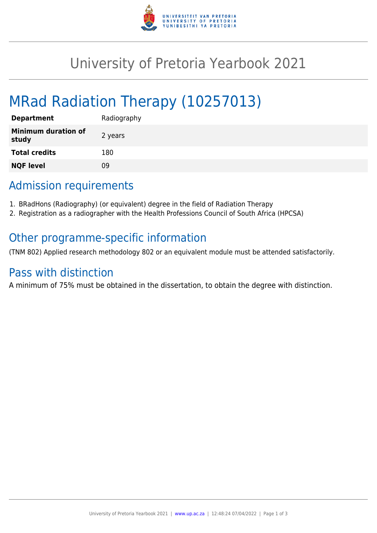

## University of Pretoria Yearbook 2021

# MRad Radiation Therapy (10257013)

| <b>Department</b>                   | Radiography |
|-------------------------------------|-------------|
| <b>Minimum duration of</b><br>study | 2 years     |
| <b>Total credits</b>                | 180         |
| <b>NQF level</b>                    | ΩÓ          |

### Admission requirements

- 1. BRadHons (Radiography) (or equivalent) degree in the field of Radiation Therapy
- 2. Registration as a radiographer with the Health Professions Council of South Africa (HPCSA)

### Other programme-specific information

(TNM 802) Applied research methodology 802 or an equivalent module must be attended satisfactorily.

#### Pass with distinction

A minimum of 75% must be obtained in the dissertation, to obtain the degree with distinction.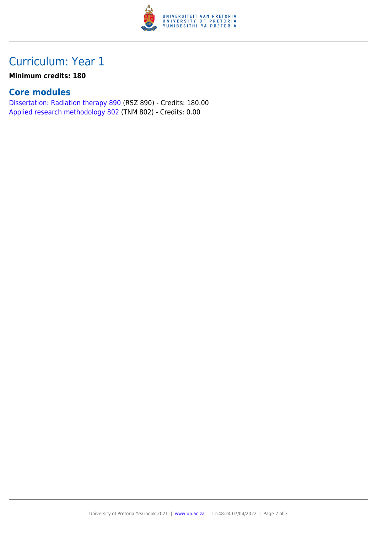

### Curriculum: Year 1

#### **Minimum credits: 180**

#### **Core modules**

[Dissertation: Radiation therapy 890](https://www.up.ac.za/yearbooks/2021/modules/view/RSZ 890) (RSZ 890) - Credits: 180.00 [Applied research methodology 802](https://www.up.ac.za/yearbooks/2021/modules/view/TNM 802) (TNM 802) - Credits: 0.00